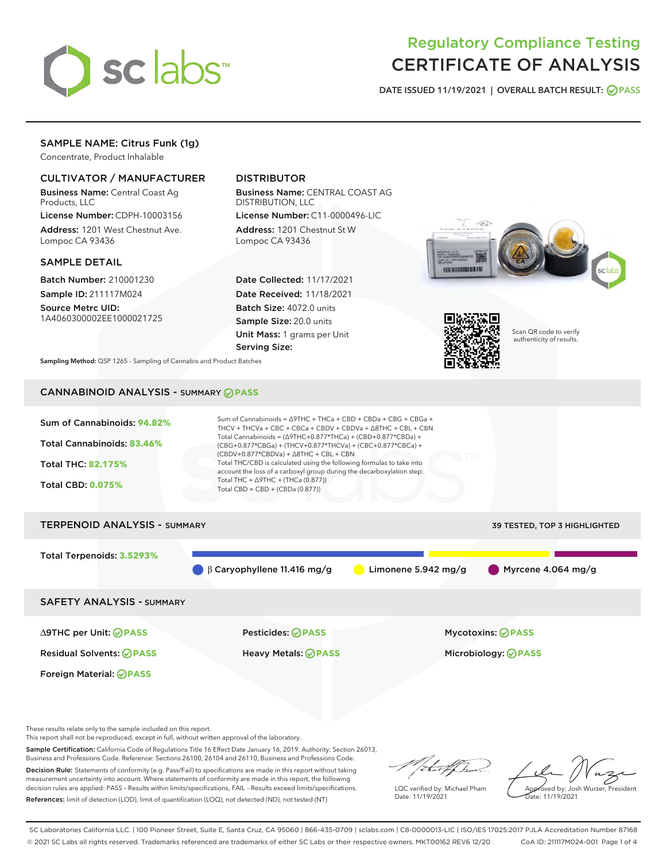

# Regulatory Compliance Testing CERTIFICATE OF ANALYSIS

DATE ISSUED 11/19/2021 | OVERALL BATCH RESULT: @ PASS

## SAMPLE NAME: Citrus Funk (1g)

Concentrate, Product Inhalable

## CULTIVATOR / MANUFACTURER

Business Name: Central Coast Ag Products, LLC

License Number: CDPH-10003156 Address: 1201 West Chestnut Ave. Lompoc CA 93436

#### SAMPLE DETAIL

Batch Number: 210001230 Sample ID: 211117M024

Source Metrc UID: 1A4060300002EE1000021725

## DISTRIBUTOR

Business Name: CENTRAL COAST AG DISTRIBUTION, LLC License Number: C11-0000496-LIC

Address: 1201 Chestnut St W Lompoc CA 93436

Date Collected: 11/17/2021 Date Received: 11/18/2021 Batch Size: 4072.0 units Sample Size: 20.0 units Unit Mass: 1 grams per Unit Serving Size:





Scan QR code to verify authenticity of results.

Sampling Method: QSP 1265 - Sampling of Cannabis and Product Batches

## CANNABINOID ANALYSIS - SUMMARY **PASS**



SAFETY ANALYSIS - SUMMARY

∆9THC per Unit: **PASS** Pesticides: **PASS** Mycotoxins: **PASS**

Foreign Material: **PASS**

Residual Solvents: **PASS** Heavy Metals: **PASS** Microbiology: **PASS**

These results relate only to the sample included on this report.

This report shall not be reproduced, except in full, without written approval of the laboratory.

Sample Certification: California Code of Regulations Title 16 Effect Date January 16, 2019. Authority: Section 26013, Business and Professions Code. Reference: Sections 26100, 26104 and 26110, Business and Professions Code. Decision Rule: Statements of conformity (e.g. Pass/Fail) to specifications are made in this report without taking

measurement uncertainty into account. Where statements of conformity are made in this report, the following decision rules are applied: PASS – Results within limits/specifications, FAIL – Results exceed limits/specifications. References: limit of detection (LOD), limit of quantification (LOQ), not detected (ND), not tested (NT)

that for

LQC verified by: Michael Pham Date: 11/19/2021

Approved by: Josh Wurzer, President Date: 11/19/2021

SC Laboratories California LLC. | 100 Pioneer Street, Suite E, Santa Cruz, CA 95060 | 866-435-0709 | sclabs.com | C8-0000013-LIC | ISO/IES 17025:2017 PJLA Accreditation Number 87168 © 2021 SC Labs all rights reserved. Trademarks referenced are trademarks of either SC Labs or their respective owners. MKT00162 REV6 12/20 CoA ID: 211117M024-001 Page 1 of 4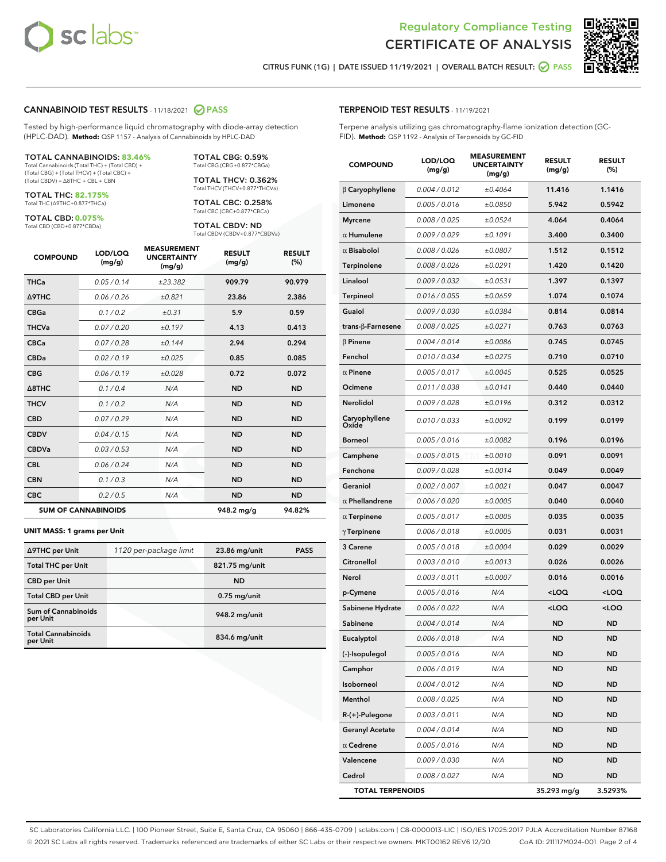

Terpene analysis utilizing gas chromatography-flame ionization detection (GC-



CITRUS FUNK (1G) | DATE ISSUED 11/19/2021 | OVERALL BATCH RESULT: @ PASS

TERPENOID TEST RESULTS - 11/19/2021

FID). **Method:** QSP 1192 - Analysis of Terpenoids by GC-FID

#### CANNABINOID TEST RESULTS - 11/18/2021 2 PASS

Tested by high-performance liquid chromatography with diode-array detection (HPLC-DAD). **Method:** QSP 1157 - Analysis of Cannabinoids by HPLC-DAD

#### TOTAL CANNABINOIDS: **83.46%**

Total Cannabinoids (Total THC) + (Total CBD) + (Total CBG) + (Total THCV) + (Total CBC) + (Total CBDV) + ∆8THC + CBL + CBN

TOTAL THC: **82.175%** Total THC (∆9THC+0.877\*THCa)

TOTAL CBD: **0.075%**

Total CBD (CBD+0.877\*CBDa)

TOTAL CBG: 0.59% Total CBG (CBG+0.877\*CBGa)

TOTAL THCV: 0.362% Total THCV (THCV+0.877\*THCVa)

TOTAL CBC: 0.258% Total CBC (CBC+0.877\*CBCa)

TOTAL CBDV: ND Total CBDV (CBDV+0.877\*CBDVa)

| <b>COMPOUND</b>  | LOD/LOQ<br>(mg/g)          | <b>MEASUREMENT</b><br><b>UNCERTAINTY</b><br>(mg/g) | <b>RESULT</b><br>(mg/g) | <b>RESULT</b><br>(%) |
|------------------|----------------------------|----------------------------------------------------|-------------------------|----------------------|
| <b>THCa</b>      | 0.05/0.14                  | ±23.382                                            | 909.79                  | 90.979               |
| <b>A9THC</b>     | 0.06 / 0.26                | ±0.821                                             | 23.86                   | 2.386                |
| <b>CBGa</b>      | 0.1 / 0.2                  | ±0.31                                              | 5.9                     | 0.59                 |
| <b>THCVa</b>     | 0.07/0.20                  | ±0.197                                             | 4.13                    | 0.413                |
| <b>CBCa</b>      | 0.07 / 0.28                | ±0.144                                             | 2.94                    | 0.294                |
| <b>CBDa</b>      | 0.02/0.19                  | ±0.025                                             | 0.85                    | 0.085                |
| <b>CBG</b>       | 0.06/0.19                  | ±0.028                                             | 0.72                    | 0.072                |
| $\triangle$ 8THC | 0.1/0.4                    | N/A                                                | <b>ND</b>               | <b>ND</b>            |
| <b>THCV</b>      | 0.1 / 0.2                  | N/A                                                | <b>ND</b>               | <b>ND</b>            |
| <b>CBD</b>       | 0.07/0.29                  | N/A                                                | <b>ND</b>               | <b>ND</b>            |
| <b>CBDV</b>      | 0.04 / 0.15                | N/A                                                | <b>ND</b>               | <b>ND</b>            |
| <b>CBDVa</b>     | 0.03 / 0.53                | N/A                                                | <b>ND</b>               | <b>ND</b>            |
| <b>CBL</b>       | 0.06 / 0.24                | N/A                                                | <b>ND</b>               | <b>ND</b>            |
| <b>CBN</b>       | 0.1/0.3                    | N/A                                                | <b>ND</b>               | <b>ND</b>            |
| <b>CBC</b>       | 0.2 / 0.5                  | N/A                                                | <b>ND</b>               | <b>ND</b>            |
|                  | <b>SUM OF CANNABINOIDS</b> |                                                    | 948.2 mg/g              | 94.82%               |

#### **UNIT MASS: 1 grams per Unit**

| ∆9THC per Unit                        | 1120 per-package limit | 23.86 mg/unit  | <b>PASS</b> |
|---------------------------------------|------------------------|----------------|-------------|
| <b>Total THC per Unit</b>             |                        | 821.75 mg/unit |             |
| <b>CBD</b> per Unit                   |                        | <b>ND</b>      |             |
| <b>Total CBD per Unit</b>             |                        | $0.75$ mg/unit |             |
| Sum of Cannabinoids<br>per Unit       |                        | 948.2 mg/unit  |             |
| <b>Total Cannabinoids</b><br>per Unit |                        | 834.6 mg/unit  |             |

| <b>COMPOUND</b>        | LOD/LOQ<br>(mg/g) | <b>MEASUREMENT</b><br><b>UNCERTAINTY</b><br>(mg/g) | <b>RESULT</b><br>(mg/g)                         | <b>RESULT</b><br>$(\%)$ |
|------------------------|-------------------|----------------------------------------------------|-------------------------------------------------|-------------------------|
| $\beta$ Caryophyllene  | 0.004 / 0.012     | ±0.4064                                            | 11.416                                          | 1.1416                  |
| Limonene               | 0.005 / 0.016     | ±0.0850                                            | 5.942                                           | 0.5942                  |
| <b>Myrcene</b>         | 0.008 / 0.025     | ±0.0524                                            | 4.064                                           | 0.4064                  |
| $\alpha$ Humulene      | 0.009/0.029       | ±0.1091                                            | 3.400                                           | 0.3400                  |
| $\alpha$ Bisabolol     | 0.008 / 0.026     | ±0.0807                                            | 1.512                                           | 0.1512                  |
| Terpinolene            | 0.008 / 0.026     | ±0.0291                                            | 1.420                                           | 0.1420                  |
| Linalool               | 0.009 / 0.032     | ±0.0531                                            | 1.397                                           | 0.1397                  |
| <b>Terpineol</b>       | 0.016 / 0.055     | ±0.0659                                            | 1.074                                           | 0.1074                  |
| Guaiol                 | 0.009 / 0.030     | ±0.0384                                            | 0.814                                           | 0.0814                  |
| trans-β-Farnesene      | 0.008 / 0.025     | ±0.0271                                            | 0.763                                           | 0.0763                  |
| $\beta$ Pinene         | 0.004 / 0.014     | ±0.0086                                            | 0.745                                           | 0.0745                  |
| Fenchol                | 0.010 / 0.034     | ±0.0275                                            | 0.710                                           | 0.0710                  |
| $\alpha$ Pinene        | 0.005 / 0.017     | ±0.0045                                            | 0.525                                           | 0.0525                  |
| Ocimene                | 0.011/0.038       | ±0.0141                                            | 0.440                                           | 0.0440                  |
| <b>Nerolidol</b>       | 0.009 / 0.028     | ±0.0196                                            | 0.312                                           | 0.0312                  |
| Caryophyllene<br>Oxide | 0.010 / 0.033     | ±0.0092                                            | 0.199                                           | 0.0199                  |
| <b>Borneol</b>         | 0.005 / 0.016     | ±0.0082                                            | 0.196                                           | 0.0196                  |
| Camphene               | 0.005 / 0.015     | ±0.0010                                            | 0.091                                           | 0.0091                  |
| Fenchone               | 0.009 / 0.028     | ±0.0014                                            | 0.049                                           | 0.0049                  |
| Geraniol               | 0.002 / 0.007     | ±0.0021                                            | 0.047                                           | 0.0047                  |
| $\alpha$ Phellandrene  | 0.006 / 0.020     | ±0.0005                                            | 0.040                                           | 0.0040                  |
| $\alpha$ Terpinene     | 0.005 / 0.017     | ±0.0005                                            | 0.035                                           | 0.0035                  |
| $\gamma$ Terpinene     | 0.006 / 0.018     | ±0.0005                                            | 0.031                                           | 0.0031                  |
| 3 Carene               | 0.005 / 0.018     | ±0.0004                                            | 0.029                                           | 0.0029                  |
| Citronellol            | 0.003 / 0.010     | ±0.0013                                            | 0.026                                           | 0.0026                  |
| Nerol                  | 0.003 / 0.011     | ±0.0007                                            | 0.016                                           | 0.0016                  |
| p-Cymene               | 0.005 / 0.016     | N/A                                                | <loq< th=""><th><loq< th=""></loq<></th></loq<> | <loq< th=""></loq<>     |
| Sabinene Hydrate       | 0.006 / 0.022     | N/A                                                | <loq< th=""><th><loq< th=""></loq<></th></loq<> | <loq< th=""></loq<>     |
| Sabinene               | 0.004/0.014       | N/A                                                | <b>ND</b>                                       | <b>ND</b>               |
| Eucalyptol             | 0.006 / 0.018     | N/A                                                | ND                                              | ND                      |
| (-)-Isopulegol         | 0.005 / 0.016     | N/A                                                | ND                                              | ND                      |
| Camphor                | 0.006 / 0.019     | N/A                                                | ND                                              | ND                      |
| Isoborneol             | 0.004 / 0.012     | N/A                                                | ND                                              | <b>ND</b>               |
| Menthol                | 0.008 / 0.025     | N/A                                                | ND                                              | <b>ND</b>               |
| R-(+)-Pulegone         | 0.003 / 0.011     | N/A                                                | ND                                              | ND                      |
| <b>Geranyl Acetate</b> | 0.004 / 0.014     | N/A                                                | ND                                              | <b>ND</b>               |
| $\alpha$ Cedrene       | 0.005 / 0.016     | N/A                                                | ND                                              | ND                      |
| Valencene              | 0.009 / 0.030     | N/A                                                | ND                                              | ND                      |

Cedrol 0.008 / 0.027 N/A ND ND TOTAL TERPENOIDS 35.293 mg/g 3.5293%

SC Laboratories California LLC. | 100 Pioneer Street, Suite E, Santa Cruz, CA 95060 | 866-435-0709 | sclabs.com | C8-0000013-LIC | ISO/IES 17025:2017 PJLA Accreditation Number 87168 © 2021 SC Labs all rights reserved. Trademarks referenced are trademarks of either SC Labs or their respective owners. MKT00162 REV6 12/20 CoA ID: 211117M024-001 Page 2 of 4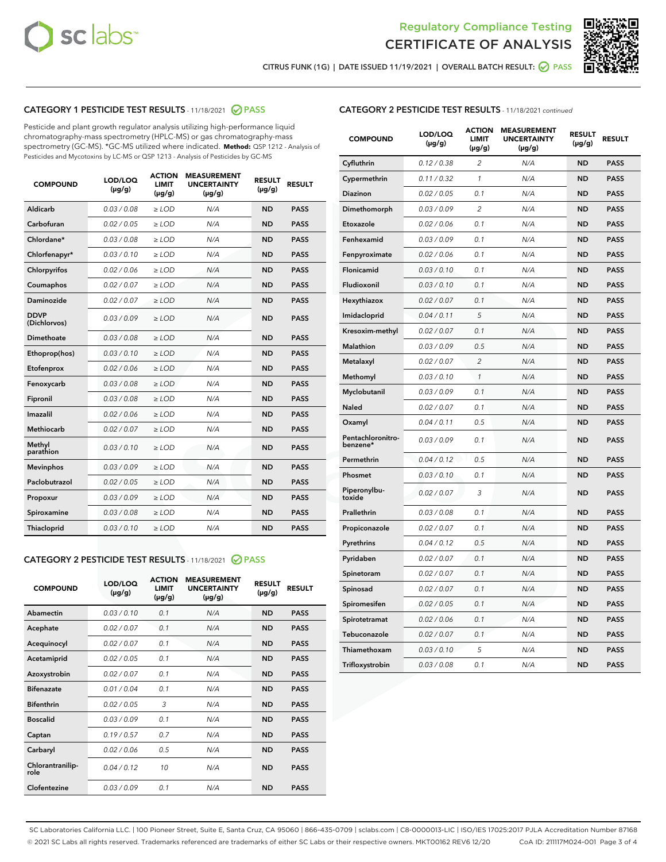



CITRUS FUNK (1G) | DATE ISSUED 11/19/2021 | OVERALL BATCH RESULT: 2 PASS

## CATEGORY 1 PESTICIDE TEST RESULTS - 11/18/2021 2 PASS

Pesticide and plant growth regulator analysis utilizing high-performance liquid chromatography-mass spectrometry (HPLC-MS) or gas chromatography-mass spectrometry (GC-MS). \*GC-MS utilized where indicated. **Method:** QSP 1212 - Analysis of Pesticides and Mycotoxins by LC-MS or QSP 1213 - Analysis of Pesticides by GC-MS

| <b>COMPOUND</b>             | LOD/LOQ<br>$(\mu g/g)$ | <b>ACTION</b><br><b>LIMIT</b><br>$(\mu g/g)$ | <b>MEASUREMENT</b><br><b>UNCERTAINTY</b><br>$(\mu g/g)$ | <b>RESULT</b><br>$(\mu g/g)$ | <b>RESULT</b> |
|-----------------------------|------------------------|----------------------------------------------|---------------------------------------------------------|------------------------------|---------------|
| Aldicarb                    | 0.03 / 0.08            | $\ge$ LOD                                    | N/A                                                     | <b>ND</b>                    | <b>PASS</b>   |
| Carbofuran                  | 0.02 / 0.05            | $\ge$ LOD                                    | N/A                                                     | <b>ND</b>                    | <b>PASS</b>   |
| Chlordane*                  | 0.03 / 0.08            | $\ge$ LOD                                    | N/A                                                     | <b>ND</b>                    | <b>PASS</b>   |
| Chlorfenapyr*               | 0.03/0.10              | $\ge$ LOD                                    | N/A                                                     | <b>ND</b>                    | <b>PASS</b>   |
| Chlorpyrifos                | 0.02 / 0.06            | $\ge$ LOD                                    | N/A                                                     | <b>ND</b>                    | <b>PASS</b>   |
| Coumaphos                   | 0.02 / 0.07            | $\ge$ LOD                                    | N/A                                                     | <b>ND</b>                    | <b>PASS</b>   |
| Daminozide                  | 0.02 / 0.07            | $\ge$ LOD                                    | N/A                                                     | <b>ND</b>                    | <b>PASS</b>   |
| <b>DDVP</b><br>(Dichlorvos) | 0.03/0.09              | $>$ LOD                                      | N/A                                                     | <b>ND</b>                    | <b>PASS</b>   |
| Dimethoate                  | 0.03 / 0.08            | $\ge$ LOD                                    | N/A                                                     | <b>ND</b>                    | <b>PASS</b>   |
| Ethoprop(hos)               | 0.03/0.10              | $>$ LOD                                      | N/A                                                     | <b>ND</b>                    | <b>PASS</b>   |
| Etofenprox                  | 0.02 / 0.06            | $\ge$ LOD                                    | N/A                                                     | <b>ND</b>                    | <b>PASS</b>   |
| Fenoxycarb                  | 0.03 / 0.08            | $\ge$ LOD                                    | N/A                                                     | <b>ND</b>                    | <b>PASS</b>   |
| Fipronil                    | 0.03 / 0.08            | $\ge$ LOD                                    | N/A                                                     | <b>ND</b>                    | <b>PASS</b>   |
| Imazalil                    | 0.02 / 0.06            | $>$ LOD                                      | N/A                                                     | <b>ND</b>                    | <b>PASS</b>   |
| <b>Methiocarb</b>           | 0.02 / 0.07            | $\ge$ LOD                                    | N/A                                                     | <b>ND</b>                    | <b>PASS</b>   |
| Methyl<br>parathion         | 0.03/0.10              | $\ge$ LOD                                    | N/A                                                     | <b>ND</b>                    | <b>PASS</b>   |
| <b>Mevinphos</b>            | 0.03/0.09              | $\ge$ LOD                                    | N/A                                                     | <b>ND</b>                    | <b>PASS</b>   |
| Paclobutrazol               | 0.02 / 0.05            | $>$ LOD                                      | N/A                                                     | <b>ND</b>                    | <b>PASS</b>   |
| Propoxur                    | 0.03/0.09              | $\ge$ LOD                                    | N/A                                                     | <b>ND</b>                    | <b>PASS</b>   |
| Spiroxamine                 | 0.03 / 0.08            | $\ge$ LOD                                    | N/A                                                     | <b>ND</b>                    | <b>PASS</b>   |
| Thiacloprid                 | 0.03/0.10              | $\ge$ LOD                                    | N/A                                                     | <b>ND</b>                    | <b>PASS</b>   |

#### CATEGORY 2 PESTICIDE TEST RESULTS - 11/18/2021 @ PASS

| <b>COMPOUND</b>          | LOD/LOO<br>$(\mu g/g)$ | <b>ACTION</b><br><b>LIMIT</b><br>$(\mu g/g)$ | <b>MEASUREMENT</b><br><b>UNCERTAINTY</b><br>$(\mu g/g)$ | <b>RESULT</b><br>$(\mu g/g)$ | <b>RESULT</b> |
|--------------------------|------------------------|----------------------------------------------|---------------------------------------------------------|------------------------------|---------------|
| Abamectin                | 0.03/0.10              | 0.1                                          | N/A                                                     | <b>ND</b>                    | <b>PASS</b>   |
| Acephate                 | 0.02/0.07              | 0.1                                          | N/A                                                     | <b>ND</b>                    | <b>PASS</b>   |
| Acequinocyl              | 0.02/0.07              | 0.1                                          | N/A                                                     | <b>ND</b>                    | <b>PASS</b>   |
| Acetamiprid              | 0.02/0.05              | 0.1                                          | N/A                                                     | <b>ND</b>                    | <b>PASS</b>   |
| Azoxystrobin             | 0.02/0.07              | 0.1                                          | N/A                                                     | <b>ND</b>                    | <b>PASS</b>   |
| <b>Bifenazate</b>        | 0.01/0.04              | 0.1                                          | N/A                                                     | <b>ND</b>                    | <b>PASS</b>   |
| <b>Bifenthrin</b>        | 0.02/0.05              | 3                                            | N/A                                                     | <b>ND</b>                    | <b>PASS</b>   |
| <b>Boscalid</b>          | 0.03/0.09              | 0.1                                          | N/A                                                     | <b>ND</b>                    | <b>PASS</b>   |
| Captan                   | 0.19/0.57              | 0.7                                          | N/A                                                     | <b>ND</b>                    | <b>PASS</b>   |
| Carbaryl                 | 0.02/0.06              | 0.5                                          | N/A                                                     | <b>ND</b>                    | <b>PASS</b>   |
| Chlorantranilip-<br>role | 0.04/0.12              | 10                                           | N/A                                                     | <b>ND</b>                    | <b>PASS</b>   |
| Clofentezine             | 0.03/0.09              | 0.1                                          | N/A                                                     | <b>ND</b>                    | <b>PASS</b>   |

#### CATEGORY 2 PESTICIDE TEST RESULTS - 11/18/2021 continued

| <b>COMPOUND</b>               | LOD/LOQ<br>$(\mu g/g)$ | <b>ACTION</b><br><b>LIMIT</b><br>$(\mu g/g)$ | <b>MEASUREMENT</b><br><b>UNCERTAINTY</b><br>$(\mu g/g)$ | <b>RESULT</b><br>(µg/g) | <b>RESULT</b> |
|-------------------------------|------------------------|----------------------------------------------|---------------------------------------------------------|-------------------------|---------------|
| Cyfluthrin                    | 0.12 / 0.38            | $\overline{c}$                               | N/A                                                     | <b>ND</b>               | <b>PASS</b>   |
| Cypermethrin                  | 0.11 / 0.32            | 1                                            | N/A                                                     | <b>ND</b>               | <b>PASS</b>   |
| <b>Diazinon</b>               | 0.02 / 0.05            | 0.1                                          | N/A                                                     | ND                      | <b>PASS</b>   |
| Dimethomorph                  | 0.03 / 0.09            | 2                                            | N/A                                                     | <b>ND</b>               | <b>PASS</b>   |
| Etoxazole                     | 0.02 / 0.06            | 0.1                                          | N/A                                                     | ND                      | <b>PASS</b>   |
| Fenhexamid                    | 0.03 / 0.09            | 0.1                                          | N/A                                                     | ND                      | <b>PASS</b>   |
| Fenpyroximate                 | 0.02 / 0.06            | 0.1                                          | N/A                                                     | <b>ND</b>               | <b>PASS</b>   |
| Flonicamid                    | 0.03 / 0.10            | 0.1                                          | N/A                                                     | ND                      | <b>PASS</b>   |
| Fludioxonil                   | 0.03 / 0.10            | 0.1                                          | N/A                                                     | ND                      | PASS          |
| Hexythiazox                   | 0.02 / 0.07            | 0.1                                          | N/A                                                     | <b>ND</b>               | <b>PASS</b>   |
| Imidacloprid                  | 0.04 / 0.11            | 5                                            | N/A                                                     | <b>ND</b>               | <b>PASS</b>   |
| Kresoxim-methyl               | 0.02 / 0.07            | 0.1                                          | N/A                                                     | ND                      | <b>PASS</b>   |
| Malathion                     | 0.03 / 0.09            | 0.5                                          | N/A                                                     | <b>ND</b>               | <b>PASS</b>   |
| Metalaxyl                     | 0.02 / 0.07            | $\overline{c}$                               | N/A                                                     | ND                      | <b>PASS</b>   |
| Methomyl                      | 0.03 / 0.10            | $\mathbf{1}$                                 | N/A                                                     | ND                      | PASS          |
| Myclobutanil                  | 0.03 / 0.09            | 0.1                                          | N/A                                                     | <b>ND</b>               | <b>PASS</b>   |
| Naled                         | 0.02 / 0.07            | 0.1                                          | N/A                                                     | <b>ND</b>               | <b>PASS</b>   |
| Oxamyl                        | 0.04 / 0.11            | 0.5                                          | N/A                                                     | ND                      | <b>PASS</b>   |
| Pentachloronitro-<br>benzene* | 0.03 / 0.09            | 0.1                                          | N/A                                                     | ND                      | <b>PASS</b>   |
| Permethrin                    | 0.04 / 0.12            | 0.5                                          | N/A                                                     | <b>ND</b>               | <b>PASS</b>   |
| Phosmet                       | 0.03 / 0.10            | 0.1                                          | N/A                                                     | <b>ND</b>               | <b>PASS</b>   |
| Piperonylbu-<br>toxide        | 0.02 / 0.07            | 3                                            | N/A                                                     | <b>ND</b>               | <b>PASS</b>   |
| Prallethrin                   | 0.03 / 0.08            | 0.1                                          | N/A                                                     | <b>ND</b>               | <b>PASS</b>   |
| Propiconazole                 | 0.02 / 0.07            | 0.1                                          | N/A                                                     | <b>ND</b>               | <b>PASS</b>   |
| Pyrethrins                    | 0.04 / 0.12            | 0.5                                          | N/A                                                     | ND                      | <b>PASS</b>   |
| Pyridaben                     | 0.02 / 0.07            | 0.1                                          | N/A                                                     | <b>ND</b>               | <b>PASS</b>   |
| Spinetoram                    | 0.02 / 0.07            | 0.1                                          | N/A                                                     | ND                      | <b>PASS</b>   |
| Spinosad                      | 0.02 / 0.07            | 0.1                                          | N/A                                                     | ND                      | PASS          |
| Spiromesifen                  | 0.02 / 0.05            | 0.1                                          | N/A                                                     | <b>ND</b>               | <b>PASS</b>   |
| Spirotetramat                 | 0.02 / 0.06            | 0.1                                          | N/A                                                     | <b>ND</b>               | <b>PASS</b>   |
| Tebuconazole                  | 0.02 / 0.07            | 0.1                                          | N/A                                                     | ND                      | <b>PASS</b>   |
| Thiamethoxam                  | 0.03 / 0.10            | 5                                            | N/A                                                     | <b>ND</b>               | <b>PASS</b>   |
| Trifloxystrobin               | 0.03 / 0.08            | 0.1                                          | N/A                                                     | <b>ND</b>               | <b>PASS</b>   |

SC Laboratories California LLC. | 100 Pioneer Street, Suite E, Santa Cruz, CA 95060 | 866-435-0709 | sclabs.com | C8-0000013-LIC | ISO/IES 17025:2017 PJLA Accreditation Number 87168 © 2021 SC Labs all rights reserved. Trademarks referenced are trademarks of either SC Labs or their respective owners. MKT00162 REV6 12/20 CoA ID: 211117M024-001 Page 3 of 4